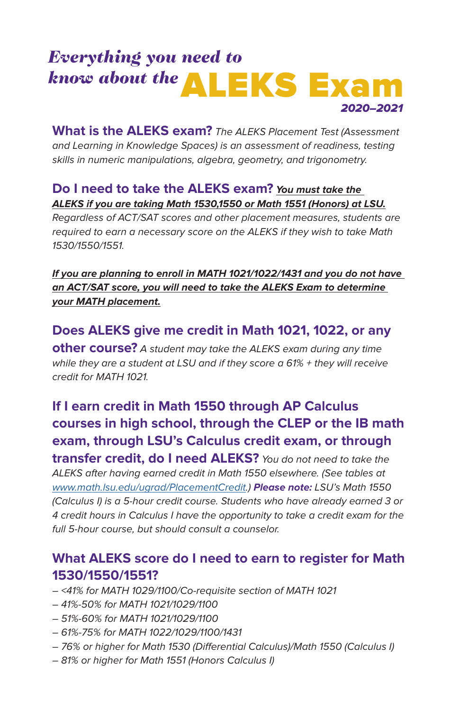## *Everything you need to know about the*<br>ALEKS Exam 2020–2021

What is the ALEKS exam? The ALEKS Placement Test (Assessment and Learning in Knowledge Spaces) is an assessment of readiness, testing skills in numeric manipulations, algebra, geometry, and trigonometry.

#### **Do I need to take the ALEKS exam? You must take the ALEKS if you are taking Math 1530,1550 or Math 1551 (Honors) at LSU.**

Regardless of ACT/SAT scores and other placement measures, students are required to earn a necessary score on the ALEKS if they wish to take Math 1530/1550/1551.

**If you are planning to enroll in MATH 1021/1022/1431 and you do not have an ACT/SAT score, you will need to take the ALEKS Exam to determine your MATH placement.**

**Does ALEKS give me credit in Math 1021, 1022, or any other course?** A student may take the ALEKS exam during any time while they are a student at LSU and if they score a 61% + they will receive credit for MATH 1021.

**If I earn credit in Math 1550 through AP Calculus courses in high school, through the CLEP or the IB math exam, through LSU's Calculus credit exam, or through transfer credit, do I need ALEKS?** You do not need to take the ALEKS after having earned credit in Math 1550 elsewhere. (See tables at [www.math.lsu.edu/ugrad/PlacementCredit.](https://www.math.lsu.edu/ugrad/PlacementCredit)) **Please note:** LSU's Math 1550 (Calculus I) is a 5-hour credit course. Students who have already earned 3 or 4 credit hours in Calculus I have the opportunity to take a credit exam for the full 5-hour course, but should consult a counselor.

#### **What ALEKS score do I need to earn to register for Math 1530/1550/1551?**

- <41% for MATH 1029/1100/Co-requisite section of MATH 1021
- 41%-50% for MATH 1021/1029/1100
- 51%-60% for MATH 1021/1029/1100
- 61%-75% for MATH 1022/1029/1100/1431
- 76% or higher for Math 1530 (Differential Calculus)/Math 1550 (Calculus I)
- 81% or higher for Math 1551 (Honors Calculus I)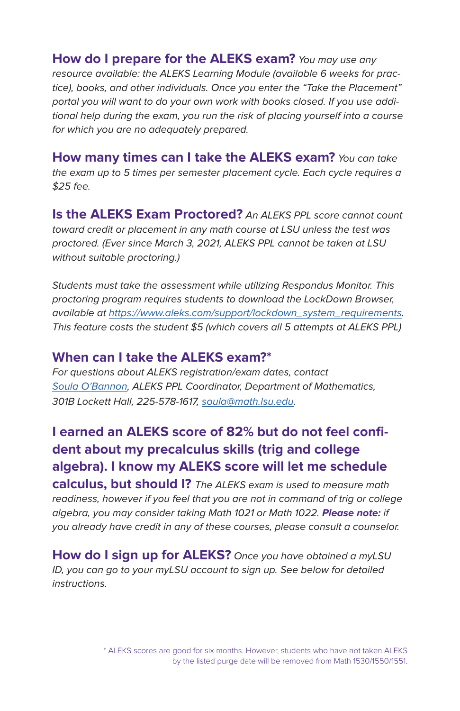**How do I prepare for the ALEKS exam?** You may use any resource available: the ALEKS Learning Module (available 6 weeks for practice), books, and other individuals. Once you enter the "Take the Placement" portal you will want to do your own work with books closed. If you use additional help during the exam, you run the risk of placing yourself into a course for which you are no adequately prepared.

**How many times can I take the ALEKS exam?** You can take the exam up to 5 times per semester placement cycle. Each cycle requires a \$25 fee.

**Is the ALEKS Exam Proctored?** An ALEKS PPL score cannot count toward credit or placement in any math course at LSU unless the test was proctored. (Ever since March 3, 2021, ALEKS PPL cannot be taken at LSU without suitable proctoring.)

Students must take the assessment while utilizing Respondus Monitor. This proctoring program requires students to download the LockDown Browser, available at [https://www.aleks.com/support/lockdown\\_system\\_requirements](https://www.aleks.com/support/lockdown_system_requirements). This feature costs the student \$5 (which covers all 5 attempts at ALEKS PPL)

#### **When can I take the ALEKS exam?\***

For questions about ALEKS registration/exam dates, contact [Soula O'Bannon,](https://www.math.lsu.edu/people/staff) ALEKS PPL Coordinator, Department of Mathematics, 301B Lockett Hall, 225-578-1617, [soula@math.lsu.edu.](mailto:soula@math.lsu.edu)

### **I earned an ALEKS score of 82% but do not feel confident about my precalculus skills (trig and college algebra). I know my ALEKS score will let me schedule**

**calculus, but should I?** The ALEKS exam is used to measure math readiness, however if you feel that you are not in command of trig or college algebra, you may consider taking Math 1021 or Math 1022. **Please note:** if you already have credit in any of these courses, please consult a counselor.

**How do I sign up for ALEKS?** Once you have obtained a myLSU ID, you can go to your myLSU account to sign up. See below for detailed instructions.